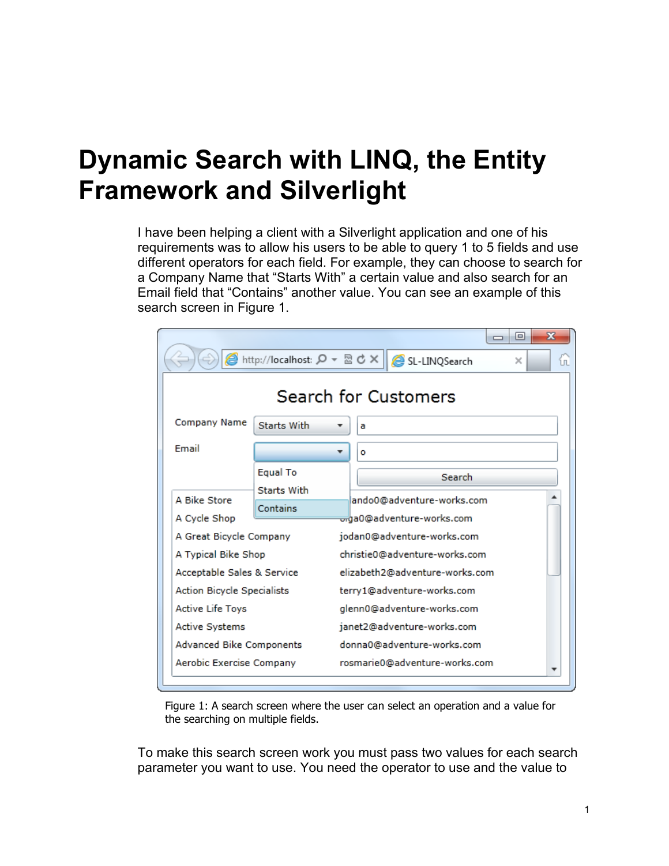## **Dynamic Search with LINQ, the Entity Framework and Silverlight**

I have been helping a client with a Silverlight application and one of his requirements was to allow his users to be able to query 1 to 5 fields and use different operators for each field. For example, they can choose to search for a Company Name that "Starts With" a certain value and also search for an Email field that "Contains" another value. You can see an example of this search screen in Figure 1.

|                                                                    |                                |  |                                                                     | х<br>$\Box$<br>$\Box$ |
|--------------------------------------------------------------------|--------------------------------|--|---------------------------------------------------------------------|-----------------------|
| A http://localhost: Q ▼ 図 ♂ ×  <br>SL-LINQSearch<br>$\times$<br>íп |                                |  |                                                                     |                       |
| Search for Customers                                               |                                |  |                                                                     |                       |
| Company Name                                                       | Starts With                    |  | a                                                                   |                       |
| Email                                                              |                                |  | o                                                                   |                       |
|                                                                    | <b>Equal To</b>                |  | Search                                                              |                       |
| A Bike Store<br>A Cycle Shop                                       | <b>Starts With</b><br>Contains |  | lando0@adventure-works.com<br><del>or</del> da0@adventure-works.com |                       |
| A Great Bicycle Company                                            |                                |  | jodan0@adventure-works.com                                          |                       |
| A Typical Bike Shop                                                |                                |  | christie0@adventure-works.com                                       |                       |
| Acceptable Sales & Service                                         |                                |  | elizabeth2@adventure-works.com                                      |                       |
| <b>Action Bicycle Specialists</b>                                  |                                |  | terry1@adventure-works.com                                          |                       |
| Active Life Toys                                                   |                                |  | glenn0@adventure-works.com                                          |                       |
| <b>Active Systems</b>                                              |                                |  | janet2@adventure-works.com                                          |                       |
| Advanced Bike Components                                           |                                |  | donna0@adventure-works.com                                          |                       |
| Aerobic Exercise Company                                           |                                |  | rosmarie0@adventure-works.com                                       |                       |

Figure 1: A search screen where the user can select an operation and a value for the searching on multiple fields.

To make this search screen work you must pass two values for each search parameter you want to use. You need the operator to use and the value to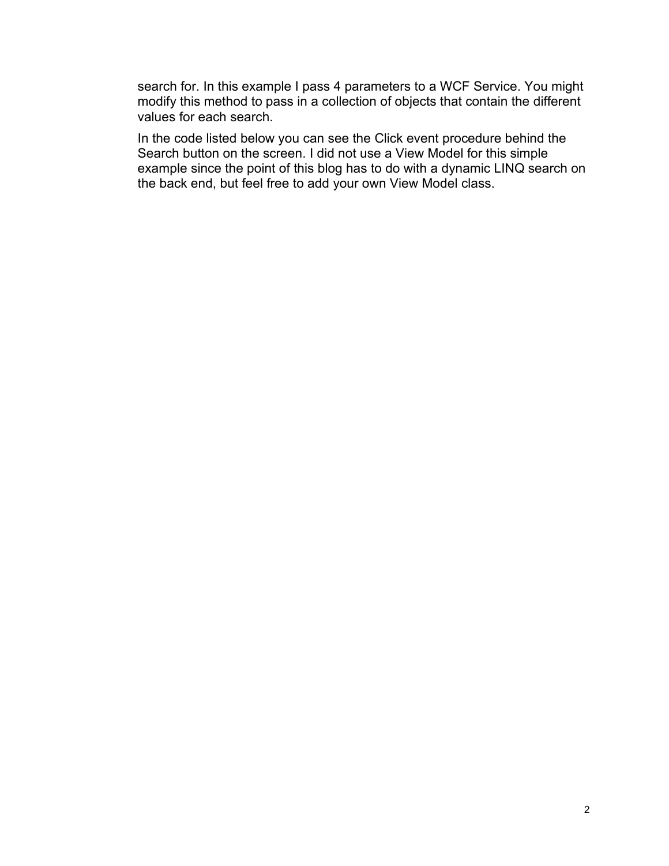search for. In this example I pass 4 parameters to a WCF Service. You might modify this method to pass in a collection of objects that contain the different values for each search.

In the code listed below you can see the Click event procedure behind the Search button on the screen. I did not use a View Model for this simple example since the point of this blog has to do with a dynamic LINQ search on the back end, but feel free to add your own View Model class.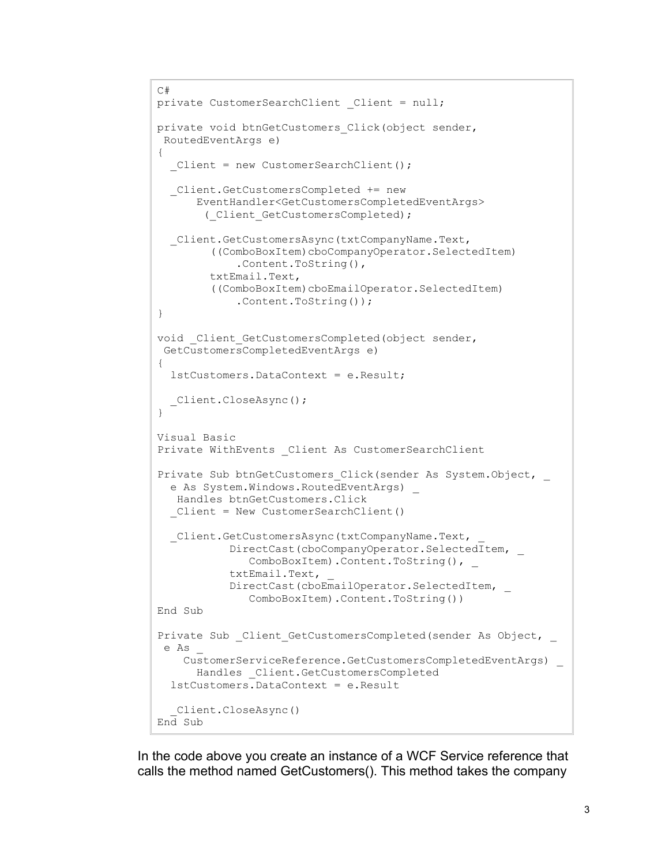```
C#
private CustomerSearchClient Client = null;
private void btnGetCustomers Click(object sender,
RoutedEventArgs e)
{
  Client = new CustomerSearchClient();
   _Client.GetCustomersCompleted += new 
       EventHandler<GetCustomersCompletedEventArgs>
        (_Client_GetCustomersCompleted);
   _Client.GetCustomersAsync(txtCompanyName.Text, 
         ((ComboBoxItem)cboCompanyOperator.SelectedItem)
             .Content.ToString(), 
         txtEmail.Text, 
         ((ComboBoxItem)cboEmailOperator.SelectedItem)
             .Content.ToString());
}
void Client GetCustomersCompleted(object sender,
GetCustomersCompletedEventArgs e)
{
  lstCustomers.DataContext = e.Result;
  _Client.CloseAsync();
}
Visual Basic
Private WithEvents Client As CustomerSearchClient
Private Sub btnGetCustomers Click(sender As System.Object,
 e As System.Windows.RoutedEventArgs)
   Handles btnGetCustomers.Click
   _Client = New CustomerSearchClient()
   _Client.GetCustomersAsync(txtCompanyName.Text, _
            DirectCast(cboCompanyOperator.SelectedItem, _
              ComboBoxItem).Content.ToString(),
            txtEmail.Text, _
           DirectCast(cboEmailOperator.SelectedItem, _
               ComboBoxItem).Content.ToString())
End Sub
Private Sub Client GetCustomersCompleted(sender As Object,
 e As _
     CustomerServiceReference.GetCustomersCompletedEventArgs) _
       Handles _Client.GetCustomersCompleted
   lstCustomers.DataContext = e.Result
   _Client.CloseAsync()
End Sub
```
In the code above you create an instance of a WCF Service reference that calls the method named GetCustomers(). This method takes the company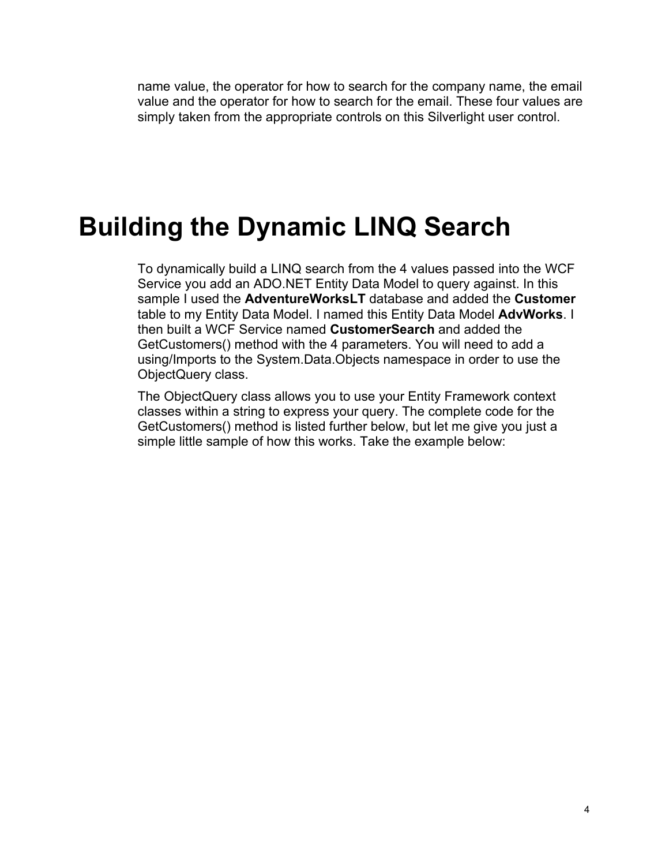name value, the operator for how to search for the company name, the email value and the operator for how to search for the email. These four values are simply taken from the appropriate controls on this Silverlight user control.

## **Building the Dynamic LINQ Search**

To dynamically build a LINQ search from the 4 values passed into the WCF Service you add an ADO.NET Entity Data Model to query against. In this sample I used the **AdventureWorksLT** database and added the **Customer** table to my Entity Data Model. I named this Entity Data Model **AdvWorks**. I then built a WCF Service named **CustomerSearch** and added the GetCustomers() method with the 4 parameters. You will need to add a using/Imports to the System.Data.Objects namespace in order to use the ObjectQuery class.

The ObjectQuery class allows you to use your Entity Framework context classes within a string to express your query. The complete code for the GetCustomers() method is listed further below, but let me give you just a simple little sample of how this works. Take the example below: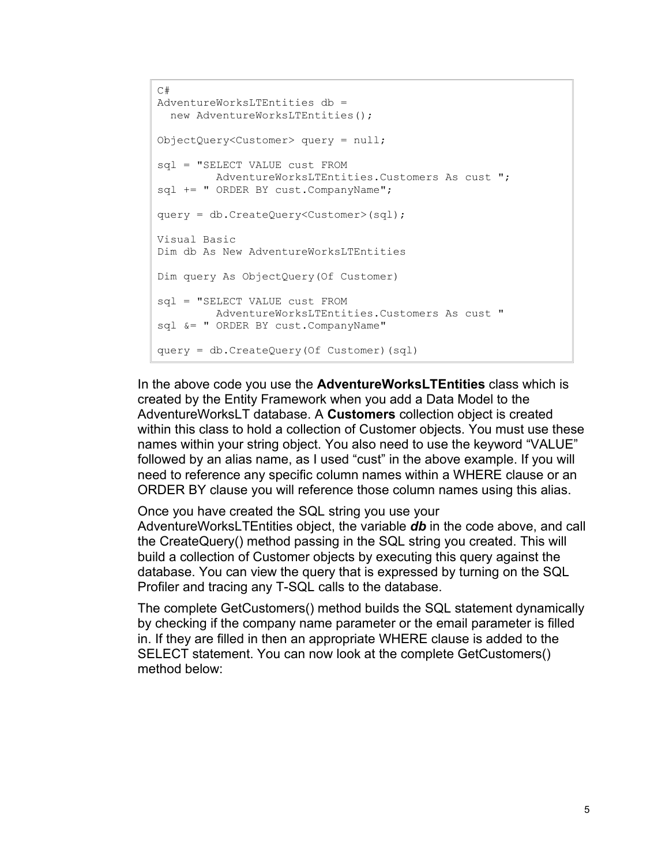```
\sim \pmAdventureWorksLTEntities db = 
  new AdventureWorksLTEntities();
ObjectQuery<Customer> query = null;
sql = "SELECT VALUE cust FROM
        AdventureWorksLTEntities. Customers As cust ";
sql += " ORDER BY cust. CompanyName";
query = db.CreateQuery<Customer>(sql);
Visual Basic
Dim db As New AdventureWorksLTEntities
Dim query As ObjectQuery(Of Customer)
sql = "SELECT VALUE cust FROM
         AdventureWorksLTEntities.Customers As cust "
sql &= " ORDER BY cust.CompanyName"
query = db.CreateQuery(Of Customer)(sql)
```
In the above code you use the **AdventureWorksLTEntities** class which is created by the Entity Framework when you add a Data Model to the AdventureWorksLT database. A **Customers** collection object is created within this class to hold a collection of Customer objects. You must use these names within your string object. You also need to use the keyword "VALUE" followed by an alias name, as I used "cust" in the above example. If you will need to reference any specific column names within a WHERE clause or an ORDER BY clause you will reference those column names using this alias.

Once you have created the SQL string you use your AdventureWorksLTEntities object, the variable *db* in the code above, and call the CreateQuery() method passing in the SQL string you created. This will build a collection of Customer objects by executing this query against the database. You can view the query that is expressed by turning on the SQL Profiler and tracing any T-SQL calls to the database.

The complete GetCustomers() method builds the SQL statement dynamically by checking if the company name parameter or the email parameter is filled in. If they are filled in then an appropriate WHERE clause is added to the SELECT statement. You can now look at the complete GetCustomers() method below: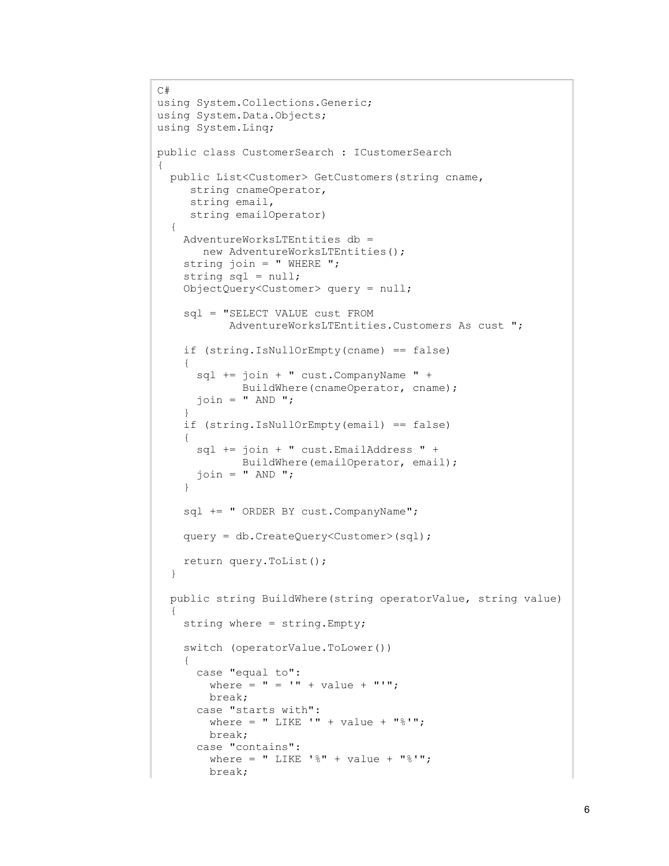```
C#
using System.Collections.Generic;
using System.Data.Objects;
using System.Linq;
public class CustomerSearch : ICustomerSearch
{
   public List<Customer> GetCustomers(string cname,
      string cnameOperator, 
      string email, 
      string emailOperator)
   {
     AdventureWorksLTEntities db = 
        new AdventureWorksLTEntities();
    string join = " WHERE ";
     string sql = null;
     ObjectQuery<Customer> query = null;
     sql = "SELECT VALUE cust FROM
           AdventureWorksLTEntities.Customers As cust ";
     if (string.IsNullOrEmpty(cname) == false)
     {
       sql += join + " cust.CompanyName " + 
              BuildWhere(cnameOperator, cname);
      \overline{\text{join}} = " AND ";
 }
     if (string.IsNullOrEmpty(email) == false)
     {
       sql += join + " cust.EmailAddress " +
              BuildWhere(emailOperator, email);
      join = " AND "; }
    sql += " ORDER BY cust.CompanyName";
     query = db.CreateQuery<Customer>(sql);
     return query.ToList();
   }
   public string BuildWhere(string operatorValue, string value)
\{ string where = string.Empty;
     switch (operatorValue.ToLower())
     {
       case "equal to":
        where = " = " + value + "";
         break;
       case "starts with":
        where = " LIKE '" + value + "%'";
         break;
       case "contains":
        where = " LIKE '%" + value + "%'";
         break;
```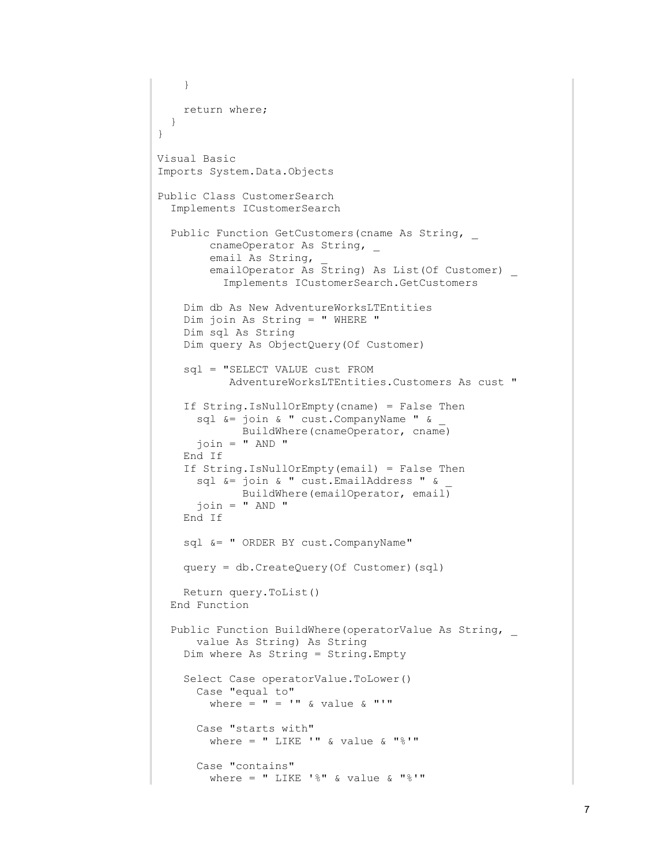```
 }
    return where;
  }
}
Visual Basic
Imports System.Data.Objects
Public Class CustomerSearch
  Implements ICustomerSearch
  Public Function GetCustomers(cname As String, _
        cnameOperator As String,
        email As String,
        emailOperator As String) As List(Of Customer) _
           Implements ICustomerSearch.GetCustomers
     Dim db As New AdventureWorksLTEntities
     Dim join As String = " WHERE "
     Dim sql As String
     Dim query As ObjectQuery(Of Customer)
     sql = "SELECT VALUE cust FROM
            AdventureWorksLTEntities.Customers As cust "
     If String.IsNullOrEmpty(cname) = False Then
       sql &= join & " cust.CompanyName " & _
              BuildWhere(cnameOperator, cname)
       join = " AND "
     End If
     If String.IsNullOrEmpty(email) = False Then
       sql &= join & " cust.EmailAddress " & _
             BuildWhere(emailOperator, email)
      join = " AND " End If
     sql &= " ORDER BY cust.CompanyName"
     query = db.CreateQuery(Of Customer)(sql)
    Return query.ToList()
  End Function
  Public Function BuildWhere(operatorValue As String, _
       value As String) As String
     Dim where As String = String.Empty
     Select Case operatorValue.ToLower()
       Case "equal to"
        where = " = '" & value & "'"
       Case "starts with"
        where = " LIKE '" & value & "%'"
       Case "contains"
        where = " LIKE '%" & value & "%'"
```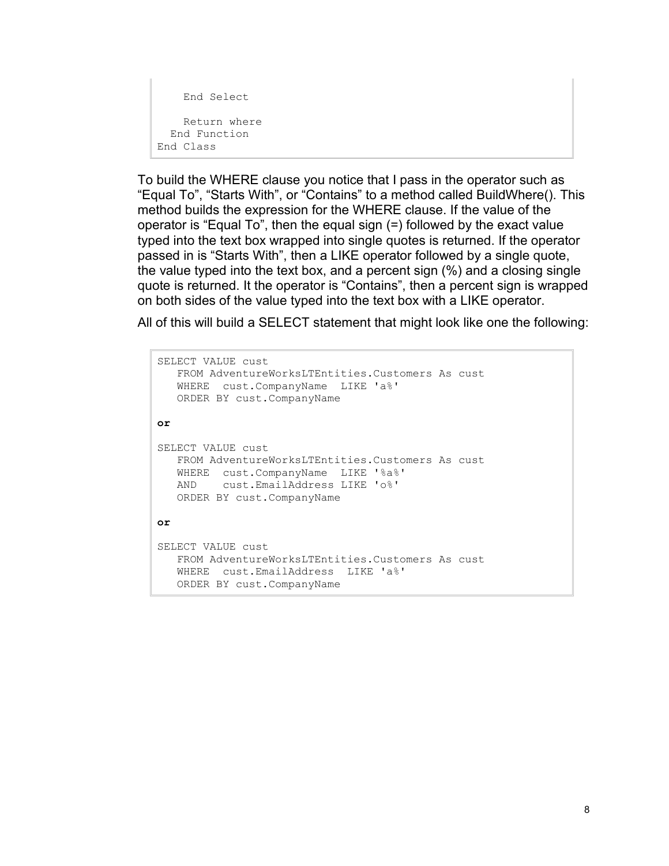```
 End Select
     Return where
   End Function
End Class
```
To build the WHERE clause you notice that I pass in the operator such as "Equal To", "Starts With", or "Contains" to a method called BuildWhere(). This method builds the expression for the WHERE clause. If the value of the operator is "Equal To", then the equal sign (=) followed by the exact value typed into the text box wrapped into single quotes is returned. If the operator passed in is "Starts With", then a LIKE operator followed by a single quote, the value typed into the text box, and a percent sign (%) and a closing single quote is returned. It the operator is "Contains", then a percent sign is wrapped on both sides of the value typed into the text box with a LIKE operator.

All of this will build a SELECT statement that might look like one the following:

```
SELECT VALUE cust 
    FROM AdventureWorksLTEntities.Customers As cust 
    WHERE cust.CompanyName LIKE 'a%' 
    ORDER BY cust.CompanyName
or
SELECT VALUE cust 
    FROM AdventureWorksLTEntities.Customers As cust 
    WHERE cust.CompanyName LIKE '%a%' 
    AND cust.EmailAddress LIKE 'o%' 
    ORDER BY cust.CompanyName
or
SELECT VALUE cust 
    FROM AdventureWorksLTEntities.Customers As cust 
    WHERE cust.EmailAddress LIKE 'a%' 
    ORDER BY cust.CompanyName
```